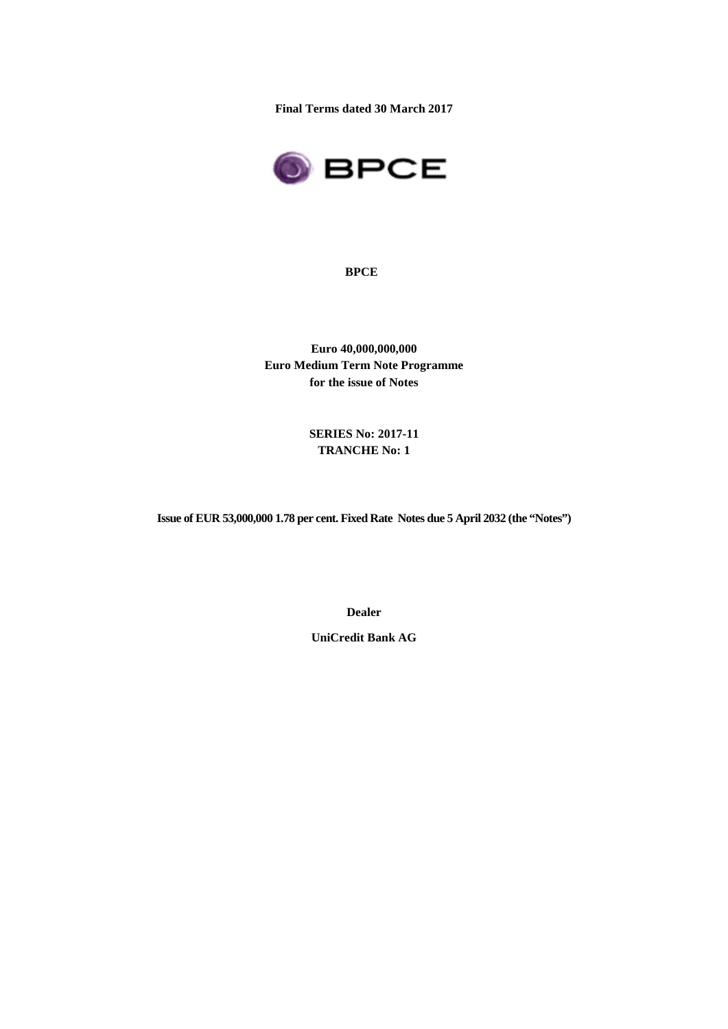**Final Terms dated 30 March 2017**



**BPCE**

**Euro 40,000,000,000 Euro Medium Term Note Programme for the issue of Notes**

> **SERIES No: 2017-11 TRANCHE No: 1**

**Issue of EUR 53,000,000 1.78 per cent. Fixed Rate Notes due 5 April 2032 (the "Notes")**

**Dealer**

**UniCredit Bank AG**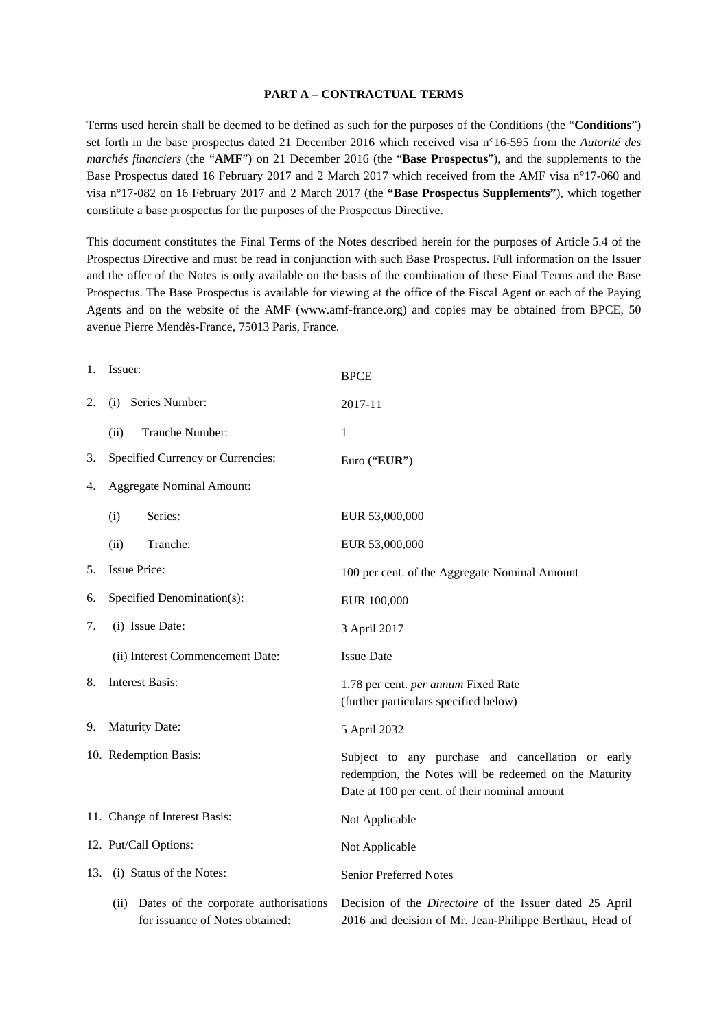#### **PART A – CONTRACTUAL TERMS**

Terms used herein shall be deemed to be defined as such for the purposes of the Conditions (the "**Conditions**") set forth in the base prospectus dated 21 December 2016 which received visa n°16-595 from the *Autorité des marchés financiers* (the "**AMF**") on 21 December 2016 (the "**Base Prospectus**"), and the supplements to the Base Prospectus dated 16 February 2017 and 2 March 2017 which received from the AMF visa n°17-060 and visa n°17-082 on 16 February 2017 and 2 March 2017 (the **"Base Prospectus Supplements"**), which together constitute a base prospectus for the purposes of the Prospectus Directive.

This document constitutes the Final Terms of the Notes described herein for the purposes of Article 5.4 of the Prospectus Directive and must be read in conjunction with such Base Prospectus. Full information on the Issuer and the offer of the Notes is only available on the basis of the combination of these Final Terms and the Base Prospectus. The Base Prospectus is available for viewing at the office of the Fiscal Agent or each of the Paying Agents and on the website of the AMF (www.amf-france.org) and copies may be obtained from BPCE, 50 avenue Pierre Mendès-France, 75013 Paris, France.

| 1.  | Issuer:                                                                       | <b>BPCE</b>                                                                                                                                                  |
|-----|-------------------------------------------------------------------------------|--------------------------------------------------------------------------------------------------------------------------------------------------------------|
| 2.  | Series Number:<br>(i)                                                         | 2017-11                                                                                                                                                      |
|     | Tranche Number:<br>(ii)                                                       | 1                                                                                                                                                            |
| 3.  | Specified Currency or Currencies:                                             | Euro ("EUR")                                                                                                                                                 |
| 4.  | <b>Aggregate Nominal Amount:</b>                                              |                                                                                                                                                              |
|     | Series:<br>(i)                                                                | EUR 53,000,000                                                                                                                                               |
|     | (ii)<br>Tranche:                                                              | EUR 53,000,000                                                                                                                                               |
| 5.  | <b>Issue Price:</b>                                                           | 100 per cent. of the Aggregate Nominal Amount                                                                                                                |
| 6.  | Specified Denomination(s):                                                    | EUR 100,000                                                                                                                                                  |
| 7.  | (i) Issue Date:                                                               | 3 April 2017                                                                                                                                                 |
|     | (ii) Interest Commencement Date:                                              | <b>Issue Date</b>                                                                                                                                            |
| 8.  | <b>Interest Basis:</b>                                                        | 1.78 per cent. per annum Fixed Rate<br>(further particulars specified below)                                                                                 |
| 9.  | <b>Maturity Date:</b>                                                         | 5 April 2032                                                                                                                                                 |
|     | 10. Redemption Basis:                                                         | Subject to any purchase and cancellation or early<br>redemption, the Notes will be redeemed on the Maturity<br>Date at 100 per cent. of their nominal amount |
|     | 11. Change of Interest Basis:                                                 | Not Applicable                                                                                                                                               |
|     | 12. Put/Call Options:                                                         | Not Applicable                                                                                                                                               |
| 13. | (i) Status of the Notes:                                                      | Senior Preferred Notes                                                                                                                                       |
|     | (ii) Dates of the corporate authorisations<br>for issuance of Notes obtained: | Decision of the <i>Directoire</i> of the Issuer dated 25 April<br>2016 and decision of Mr. Jean-Philippe Berthaut, Head of                                   |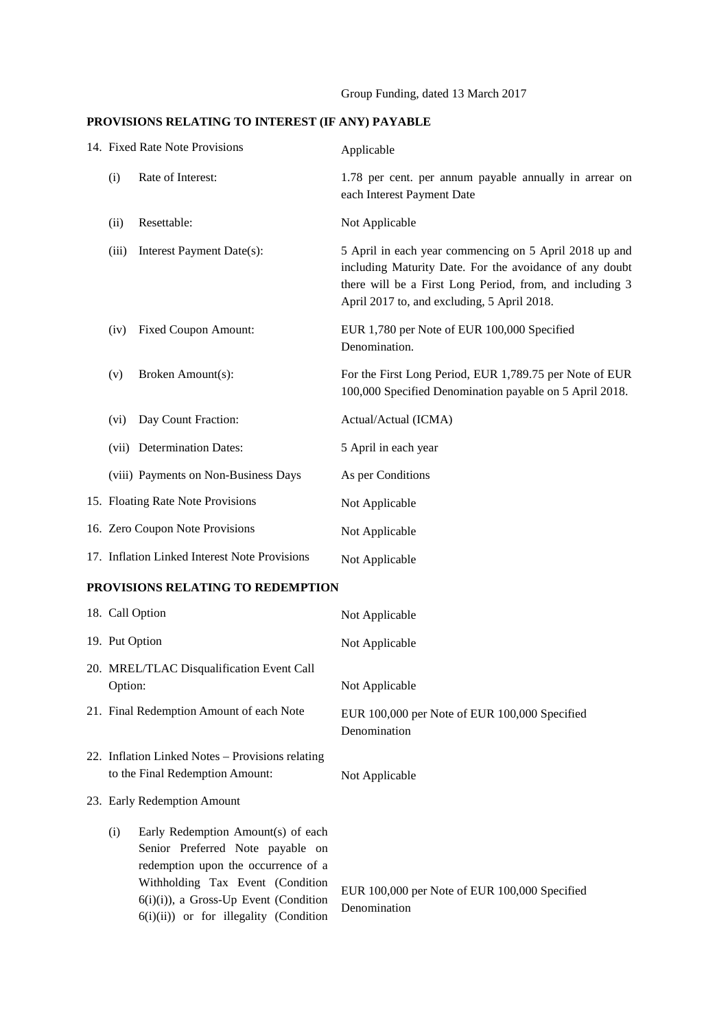#### **PROVISIONS RELATING TO INTEREST (IF ANY) PAYABLE**

|                                   |       | 14. Fixed Rate Note Provisions                | Applicable                                                                                                                                                                                                                   |
|-----------------------------------|-------|-----------------------------------------------|------------------------------------------------------------------------------------------------------------------------------------------------------------------------------------------------------------------------------|
|                                   | (i)   | Rate of Interest:                             | 1.78 per cent. per annum payable annually in arrear on<br>each Interest Payment Date                                                                                                                                         |
|                                   | (ii)  | Resettable:                                   | Not Applicable                                                                                                                                                                                                               |
|                                   | (iii) | Interest Payment Date(s):                     | 5 April in each year commencing on 5 April 2018 up and<br>including Maturity Date. For the avoidance of any doubt<br>there will be a First Long Period, from, and including 3<br>April 2017 to, and excluding, 5 April 2018. |
|                                   | (iv)  | Fixed Coupon Amount:                          | EUR 1,780 per Note of EUR 100,000 Specified<br>Denomination.                                                                                                                                                                 |
|                                   | (v)   | Broken Amount(s):                             | For the First Long Period, EUR 1,789.75 per Note of EUR<br>100,000 Specified Denomination payable on 5 April 2018.                                                                                                           |
|                                   | (vi)  | Day Count Fraction:                           | Actual/Actual (ICMA)                                                                                                                                                                                                         |
|                                   |       | (vii) Determination Dates:                    | 5 April in each year                                                                                                                                                                                                         |
|                                   |       | (viii) Payments on Non-Business Days          | As per Conditions                                                                                                                                                                                                            |
|                                   |       | 15. Floating Rate Note Provisions             | Not Applicable                                                                                                                                                                                                               |
|                                   |       | 16. Zero Coupon Note Provisions               | Not Applicable                                                                                                                                                                                                               |
|                                   |       | 17. Inflation Linked Interest Note Provisions | Not Applicable                                                                                                                                                                                                               |
| PROVISIONS RELATING TO REDEMPTION |       |                                               |                                                                                                                                                                                                                              |

# 18. Call Option Not Applicable 19. Put Option Not Applicable 20. MREL/TLAC Disqualification Event Call Option: Not Applicable 21. Final Redemption Amount of each Note EUR 100,000 per Note of EUR 100,000 Specified Denomination 22. Inflation Linked Notes – Provisions relating to the Final Redemption Amount: Not Applicable 23. Early Redemption Amount (i) Early Redemption Amount(s) of each Senior Preferred Note payable on redemption upon the occurrence of a Withholding Tax Event (Condition 6(i)(i)), a Gross-Up Event (Condition 6(i)(ii)) or for illegality (Condition EUR 100,000 per Note of EUR 100,000 Specified Denomination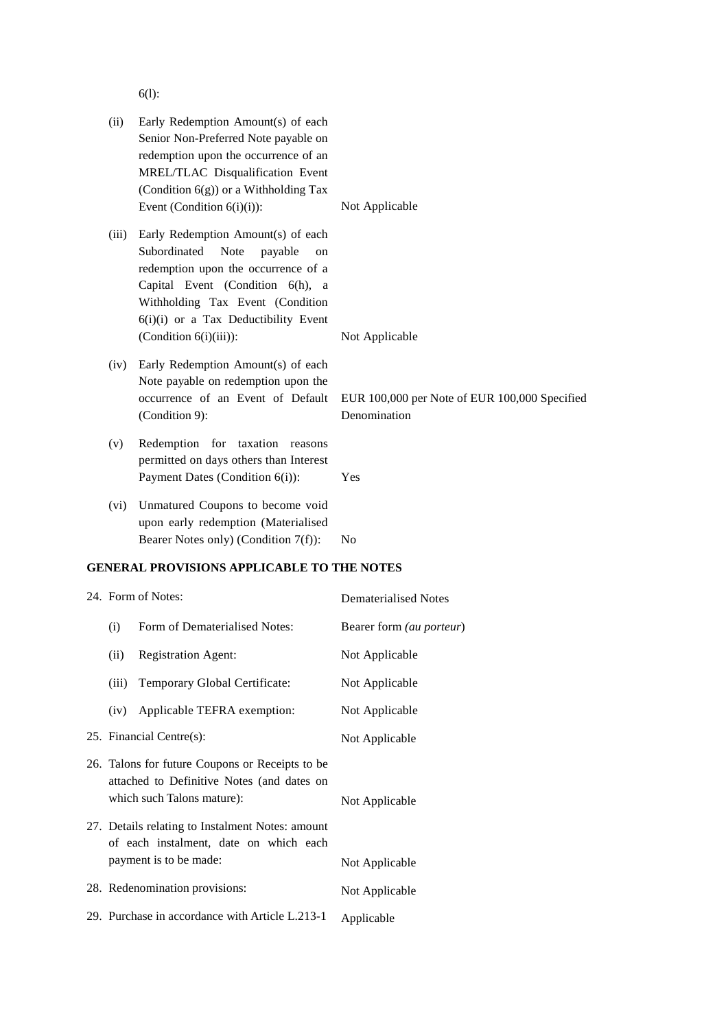6(l):

| (ii)                                                                                                                        | Early Redemption Amount(s) of each<br>Senior Non-Preferred Note payable on<br>redemption upon the occurrence of an<br>MREL/TLAC Disqualification Event<br>(Condition 6(g)) or a Withholding Tax<br>Event (Condition $6(i)(i)$ ):                                       | Not Applicable                                                |
|-----------------------------------------------------------------------------------------------------------------------------|------------------------------------------------------------------------------------------------------------------------------------------------------------------------------------------------------------------------------------------------------------------------|---------------------------------------------------------------|
| (iii)                                                                                                                       | Early Redemption Amount(s) of each<br>Subordinated<br><b>Note</b><br>payable<br>on<br>redemption upon the occurrence of a<br>Capital Event (Condition 6(h), a<br>Withholding Tax Event (Condition<br>6(i)(i) or a Tax Deductibility Event<br>$(Condition 6(i)(iii))$ : | Not Applicable                                                |
| (iv)                                                                                                                        | Early Redemption Amount(s) of each<br>Note payable on redemption upon the<br>occurrence of an Event of Default<br>(Condition 9):                                                                                                                                       | EUR 100,000 per Note of EUR 100,000 Specified<br>Denomination |
| (v)                                                                                                                         | Redemption for taxation reasons<br>permitted on days others than Interest<br>Payment Dates (Condition 6(i)):                                                                                                                                                           | Yes                                                           |
| (vi)                                                                                                                        | Unmatured Coupons to become void<br>upon early redemption (Materialised<br>Bearer Notes only) (Condition 7(f)):                                                                                                                                                        | N <sub>0</sub>                                                |
|                                                                                                                             | <b>GENERAL PROVISIONS APPLICABLE TO THE NOTES</b>                                                                                                                                                                                                                      |                                                               |
|                                                                                                                             | 24. Form of Notes:                                                                                                                                                                                                                                                     | <b>Dematerialised Notes</b>                                   |
| (i)                                                                                                                         | Form of Dematerialised Notes:                                                                                                                                                                                                                                          | Bearer form (au porteur)                                      |
|                                                                                                                             | (ii) Registration Agent:                                                                                                                                                                                                                                               | Not Applicable                                                |
| (iii)                                                                                                                       | Temporary Global Certificate:                                                                                                                                                                                                                                          | Not Applicable                                                |
| (iv)                                                                                                                        | Applicable TEFRA exemption:                                                                                                                                                                                                                                            | Not Applicable                                                |
|                                                                                                                             | 25. Financial Centre(s):                                                                                                                                                                                                                                               | Not Applicable                                                |
| 26. Talons for future Coupons or Receipts to be<br>attached to Definitive Notes (and dates on<br>which such Talons mature): |                                                                                                                                                                                                                                                                        | Not Applicable                                                |
|                                                                                                                             | 27. Details relating to Instalment Notes: amount<br>of each instalment, date on which each<br>payment is to be made:                                                                                                                                                   | Not Applicable                                                |
|                                                                                                                             | 28. Redenomination provisions:                                                                                                                                                                                                                                         | Not Applicable                                                |
|                                                                                                                             |                                                                                                                                                                                                                                                                        |                                                               |

29. Purchase in accordance with Article L.213-1 Applicable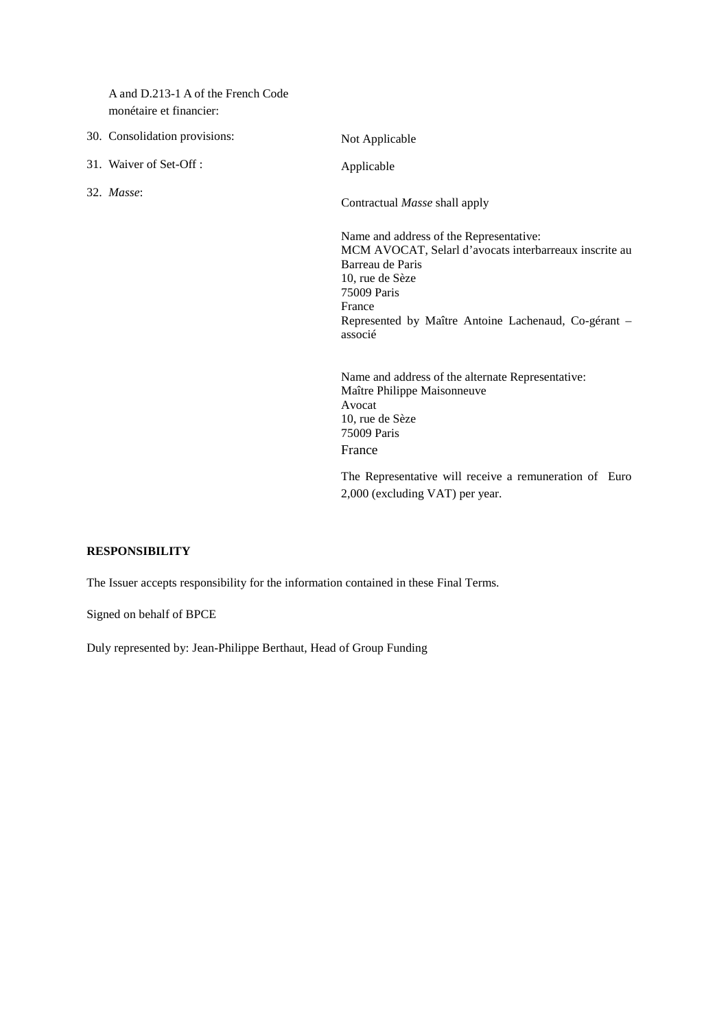A and D.213-1 A of the French Code monétaire et financier:

- 30. Consolidation provisions: Not Applicable
- 31. Waiver of Set-Off : Applicable

32. *Masse*:

Contractual *Masse* shall apply

Name and address of the Representative: MCM AVOCAT, Selarl d'avocats interbarreaux inscrite au Barreau de Paris 10, rue de Sèze 75009 Paris France Represented by Maître Antoine Lachenaud, Co-gérant – associé

Name and address of the alternate Representative: Maître Philippe Maisonneuve Avocat 10, rue de Sèze 75009 Paris France

The Representative will receive a remuneration of Euro 2,000 (excluding VAT) per year.

# **RESPONSIBILITY**

The Issuer accepts responsibility for the information contained in these Final Terms.

Signed on behalf of BPCE

Duly represented by: Jean-Philippe Berthaut, Head of Group Funding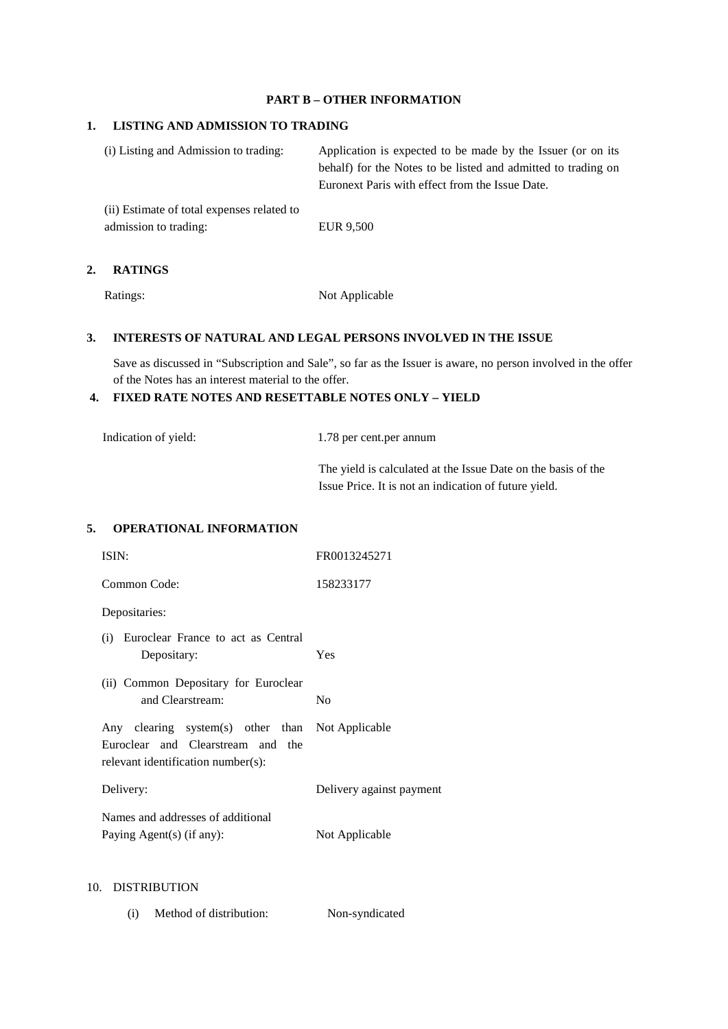# **PART B – OTHER INFORMATION**

#### **1. LISTING AND ADMISSION TO TRADING**

| (i) Listing and Admission to trading:      | Application is expected to be made by the Issuer (or on its<br>behalf) for the Notes to be listed and admitted to trading on |  |
|--------------------------------------------|------------------------------------------------------------------------------------------------------------------------------|--|
|                                            | Euronext Paris with effect from the Issue Date.                                                                              |  |
| (ii) Estimate of total expenses related to |                                                                                                                              |  |

admission to trading: EUR 9,500

#### **2. RATINGS**

Ratings: Not Applicable

# **3. INTERESTS OF NATURAL AND LEGAL PERSONS INVOLVED IN THE ISSUE**

Save as discussed in "Subscription and Sale", so far as the Issuer is aware, no person involved in the offer of the Notes has an interest material to the offer.

# **4. FIXED RATE NOTES AND RESETTABLE NOTES ONLY – YIELD**

Indication of yield: 1.78 per cent.per annum

The yield is calculated at the Issue Date on the basis of the Issue Price. It is not an indication of future yield.

# **5. OPERATIONAL INFORMATION**

| ISIN:                                                                                                                       | FR0013245271             |
|-----------------------------------------------------------------------------------------------------------------------------|--------------------------|
| Common Code:                                                                                                                | 158233177                |
| Depositaries:                                                                                                               |                          |
| (i) Euroclear France to act as Central<br>Depositary:                                                                       | Yes                      |
| (ii) Common Depositary for Euroclear<br>and Clearstream:                                                                    | N <sub>0</sub>           |
| Any clearing system(s) other than Not Applicable<br>Euroclear and Clearstream and the<br>relevant identification number(s): |                          |
| Delivery:                                                                                                                   | Delivery against payment |
| Names and addresses of additional<br>Paying Agent(s) (if any):                                                              | Not Applicable           |
| 10. DISTRIBUTION                                                                                                            |                          |

(i) Method of distribution: Non-syndicated